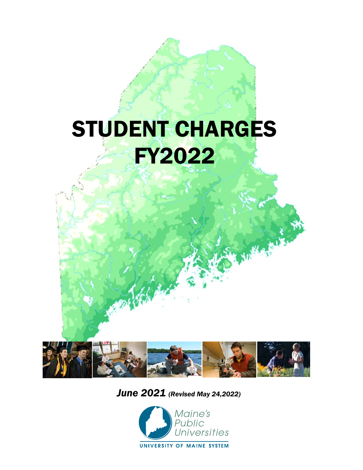# STUDENT CHARGES FY2022 .,

,

/ . ./

.,

,-. ·. : ... • ..... • *<sup>I</sup>*



 *June 2021 (Revised May 24,2022)*

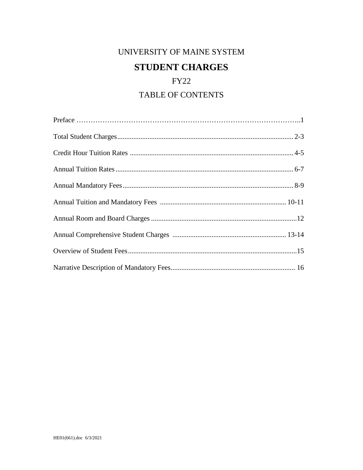# UNIVERSITY OF MAINE SYSTEM **STUDENT CHARGES**

# **FY22**

# **TABLE OF CONTENTS**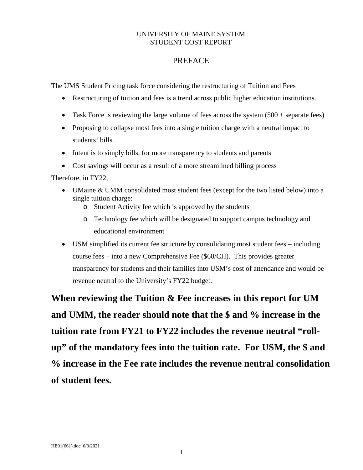## UNIVERSITY OF MAINE SYSTEM STUDENT COST REPORT

## PREFACE

The UMS Student Pricing task force considering the restructuring of Tuition and Fees

- Restructuring of tuition and fees is a trend across public higher education institutions.
- Task Force is reviewing the large volume of fees across the system  $(500 + \text{separate fees})$
- Proposing to collapse most fees into a single tuition charge with a neutral impact to students' bills.
- Intent is to simply bills, for more transparency to students and parents
- Cost savings will occur as a result of a more streamlined billing process

Therefore, in FY22,

- UMaine & UMM consolidated most student fees (except for the two listed below) into a single tuition charge:
	- o Student Activity fee which is approved by the students
	- o Technology fee which will be designated to support campus technology and educational environment
- USM simplified its current fee structure by consolidating most student fees including course fees – into a new Comprehensive Fee (\$60/CH). This provides greater transparency for students and their families into USM's cost of attendance and would be revenue neutral to the University's FY22 budget.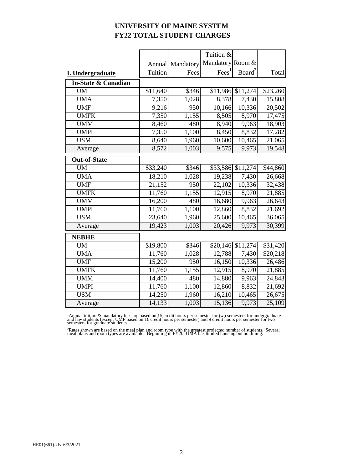## **UNIVERSITY OF MAINE SYSTEM FY22 TOTAL STUDENT CHARGES**

|                     |          |                  | Tuition &         |                    |          |
|---------------------|----------|------------------|-------------------|--------------------|----------|
|                     | Annual   | Mandatory        | Mandatory Room &  |                    |          |
| I. Undergraduate    | Tuition  | Fees             | Fees <sup>1</sup> | Board <sup>2</sup> | Total    |
| In-State & Canadian |          |                  |                   |                    |          |
| <b>UM</b>           | \$11,640 | \$346            |                   | \$11,986 \$11,274  | \$23,260 |
| <b>UMA</b>          | 7,350    | 1,028            | 8,378             | 7,430              | 15,808   |
| <b>UMF</b>          | 9,216    | $\overline{950}$ | 10,166            | 10,336             | 20,502   |
| <b>UMFK</b>         | 7,350    | 1,155            | 8,505             | 8,970              | 17,475   |
| <b>UMM</b>          | 8,460    | 480              | 8,940             | 9,963              | 18,903   |
| <b>UMPI</b>         | 7,350    | 1,100            | 8,450             | 8,832              | 17,282   |
| <b>USM</b>          | 8,640    | 1,960            | 10,600            | 10,465             | 21,065   |
| Average             | 8,572    | 1,003            | 9,575             | 9,973              | 19,548   |
| <b>Out-of-State</b> |          |                  |                   |                    |          |
| <b>UM</b>           | \$33,240 | \$346            |                   | \$33,586 \$11,274  | \$44,860 |
| <b>UMA</b>          | 18,210   | 1,028            | 19,238            | 7,430              | 26,668   |
| <b>UMF</b>          | 21,152   | $\overline{950}$ | 22,102            | 10,336             | 32,438   |
| <b>UMFK</b>         | 11,760   | 1,155            | 12,915            | 8,970              | 21,885   |
| <b>UMM</b>          | 16,200   | 480              | 16,680            | 9,963              | 26,643   |
| <b>UMPI</b>         | 11,760   | 1,100            | 12,860            | 8,832              | 21,692   |
| <b>USM</b>          | 23,640   | 1,960            | 25,600            | 10,465             | 36,065   |
| Average             | 19,423   | 1,003            | 20,426            | 9,973              | 30,399   |
| <b>NEBHE</b>        |          |                  |                   |                    |          |
| <b>UM</b>           | \$19,800 | \$346            |                   | \$20,146 \$11,274  | \$31,420 |
| <b>UMA</b>          | 11,760   | 1,028            | 12,788            | 7,430              | \$20,218 |
| <b>UMF</b>          | 15,200   | 950              | 16,150            | 10,336             | 26,486   |
| <b>UMFK</b>         | 11,760   | 1,155            | 12,915            | 8,970              | 21,885   |
| <b>UMM</b>          | 14,400   | 480              | 14,880            | 9,963              | 24,843   |
| <b>UMPI</b>         | 11,760   | 1,100            | 12,860            | 8,832              | 21,692   |
| <b>USM</b>          | 14,250   | 1,960            | 16,210            | 10,465             | 26,675   |
| Average             | 14,133   | 1,003            | 15,136            | 9,973              | 25,109   |

<sup>1</sup>Annual tuition & mandatory fees are based on 15 credit hours per semester for two semesters for undergraduate<br>and law students (except UMF based on 16 credit hours per semester) and 9 credit hours per semester for two<br>s

2Rates shown are based on the meal plan and room type with the greatest projected number of students. Several meal plans and room types are available. Beginning in FY20, UMA has limited housing but no dining.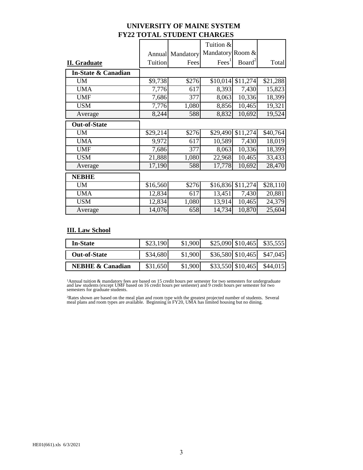| UNIVERSITY OF MAINE SYSTEM        |  |
|-----------------------------------|--|
| <b>FY22 TOTAL STUDENT CHARGES</b> |  |

|                     |          |                  | Tuition &         |                    |          |
|---------------------|----------|------------------|-------------------|--------------------|----------|
|                     |          | Annual Mandatory | Mandatory Room &  |                    |          |
| <b>II.</b> Graduate | Tuition  | Fees             | Fees <sup>T</sup> | Board <sup>2</sup> | Total    |
| In-State & Canadian |          |                  |                   |                    |          |
| <b>UM</b>           | \$9,738  | \$276            | \$10,014          | \$11,274           | \$21,288 |
| <b>UMA</b>          | 7,776    | 617              | 8,393             | 7,430              | 15,823   |
| <b>UMF</b>          | 7,686    | 377              | 8,063             | 10,336             | 18,399   |
| <b>USM</b>          | 7,776    | 1,080            | 8,856             | 10,465             | 19,321   |
| Average             | 8,244    | 588              | 8,832             | 10,692             | 19,524   |
| <b>Out-of-State</b> |          |                  |                   |                    |          |
| <b>UM</b>           | \$29,214 | \$276            | \$29,490          | \$11,274           | \$40,764 |
| <b>UMA</b>          | 9,972    | 617              | 10,589            | 7,430              | 18,019   |
| <b>UMF</b>          | 7,686    | 377              | 8,063             | 10,336             | 18,399   |
| <b>USM</b>          | 21,888   | 1,080            | 22,968            | 10,465             | 33,433   |
| Average             | 17,190   | 588              | 17,778            | 10,692             | 28,470   |
| <b>NEBHE</b>        |          |                  |                   |                    |          |
| <b>UM</b>           | \$16,560 | \$276            | \$16,836          | \$11,274           | \$28,110 |
| <b>UMA</b>          | 12,834   | 617              | 13,451            | 7,430              | 20,881   |
| <b>USM</b>          | 12,834   | 1,080            | 13,914            | 10,465             | 24,379   |
| Average             | 14,076   | 658              | 14,734            | 10,870             | 25,604   |

## **III. Law School**

| <b>In-State</b>             | \$23,190 | \$1,900 | $$25,090$ \$10,465 | \$35,555 |
|-----------------------------|----------|---------|--------------------|----------|
| <b>Out-of-State</b>         | \$34,680 | \$1,900 | \$36,580 \$10,465  | \$47,045 |
| <b>NEBHE &amp; Canadian</b> | \$31,650 | \$1,900 | \$33,550 \$10,465  | \$44,015 |

<sup>1</sup>Annual tuition & mandatory fees are based on 15 credit hours per semester for two semesters for undergraduate<br>and law students (except UMF based on 16 credit hours per semester) and 9 credit hours per semester for two<br>s

2Rates shown are based on the meal plan and room type with the greatest projected number of students. Several meal plans and room types are available. Beginning in FY20, UMA has limited housing but no dining.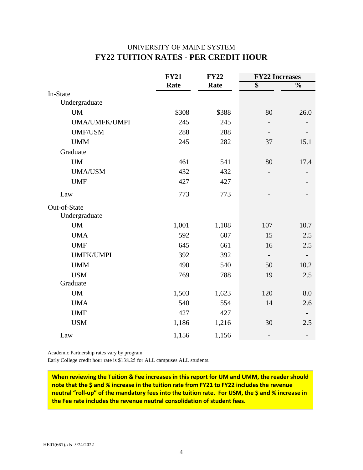## UNIVERSITY OF MAINE SYSTEM **FY22 TUITION RATES - PER CREDIT HOUR**

|                               | <b>FY21</b> | <b>FY22</b> | <b>FY22 Increases</b> |                          |  |
|-------------------------------|-------------|-------------|-----------------------|--------------------------|--|
|                               | Rate        | Rate        | $\overline{\$}$       | $\overline{\frac{0}{0}}$ |  |
| In-State                      |             |             |                       |                          |  |
| Undergraduate                 |             |             |                       |                          |  |
| <b>UM</b>                     | \$308       | \$388       | 80                    | 26.0                     |  |
| UMA/UMFK/UMPI                 | 245         | 245         |                       |                          |  |
| <b>UMF/USM</b>                | 288         | 288         |                       |                          |  |
| <b>UMM</b>                    | 245         | 282         | 37                    | 15.1                     |  |
| Graduate                      |             |             |                       |                          |  |
| <b>UM</b>                     | 461         | 541         | 80                    | 17.4                     |  |
| <b>UMA/USM</b>                | 432         | 432         |                       |                          |  |
| <b>UMF</b>                    | 427         | 427         |                       |                          |  |
| Law                           | 773         | 773         |                       |                          |  |
| Out-of-State<br>Undergraduate |             |             |                       |                          |  |
| <b>UM</b>                     | 1,001       | 1,108       | 107                   | 10.7                     |  |
| <b>UMA</b>                    | 592         | 607         | 15                    | 2.5                      |  |
| <b>UMF</b>                    | 645         | 661         | 16                    | 2.5                      |  |
| <b>UMFK/UMPI</b>              | 392         | 392         |                       |                          |  |
| <b>UMM</b>                    | 490         | 540         | 50                    | 10.2                     |  |
| <b>USM</b>                    | 769         | 788         | 19                    | 2.5                      |  |
| Graduate                      |             |             |                       |                          |  |
| $\mathbf{U}\mathbf{M}$        | 1,503       | 1,623       | 120                   | 8.0                      |  |
| <b>UMA</b>                    | 540         | 554         | 14                    | 2.6                      |  |
| <b>UMF</b>                    | 427         | 427         |                       |                          |  |
| <b>USM</b>                    | 1,186       | 1,216       | 30                    | 2.5                      |  |
| Law                           | 1,156       | 1,156       |                       |                          |  |

Academic Partnership rates vary by program.

Early College credit hour rate is \$138.25 for ALL campuses ALL students.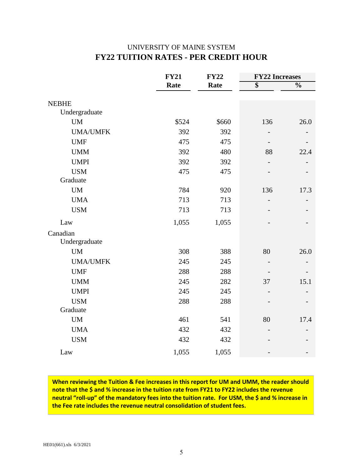## UNIVERSITY OF MAINE SYSTEM **FY22 TUITION RATES - PER CREDIT HOUR**

|                 | <b>FY21</b> | <b>FY22</b> | <b>FY22 Increases</b> |               |  |
|-----------------|-------------|-------------|-----------------------|---------------|--|
|                 | Rate        | Rate        | $\overline{\$}$       | $\frac{0}{0}$ |  |
| <b>NEBHE</b>    |             |             |                       |               |  |
| Undergraduate   |             |             |                       |               |  |
| <b>UM</b>       | \$524       | \$660       | 136                   | 26.0          |  |
| <b>UMA/UMFK</b> | 392         | 392         | $\overline{a}$        |               |  |
| <b>UMF</b>      | 475         | 475         |                       |               |  |
| <b>UMM</b>      | 392         | 480         | 88                    | 22.4          |  |
| <b>UMPI</b>     | 392         | 392         |                       |               |  |
| <b>USM</b>      | 475         | 475         |                       |               |  |
| Graduate        |             |             |                       |               |  |
| <b>UM</b>       | 784         | 920         | 136                   | 17.3          |  |
| <b>UMA</b>      | 713         | 713         |                       |               |  |
| <b>USM</b>      | 713         | 713         |                       |               |  |
| Law             | 1,055       | 1,055       |                       |               |  |
| Canadian        |             |             |                       |               |  |
| Undergraduate   |             |             |                       |               |  |
| <b>UM</b>       | 308         | 388         | 80                    | 26.0          |  |
| <b>UMA/UMFK</b> | 245         | 245         |                       |               |  |
| <b>UMF</b>      | 288         | 288         |                       |               |  |
| <b>UMM</b>      | 245         | 282         | 37                    | 15.1          |  |
| <b>UMPI</b>     | 245         | 245         |                       |               |  |
| <b>USM</b>      | 288         | 288         |                       |               |  |
| Graduate        |             |             |                       |               |  |
| <b>UM</b>       | 461         | 541         | 80                    | 17.4          |  |
| <b>UMA</b>      | 432         | 432         |                       |               |  |
| <b>USM</b>      | 432         | 432         |                       |               |  |
| Law             | 1,055       | 1,055       |                       |               |  |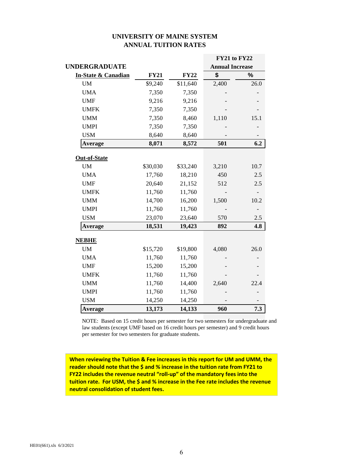### **UNIVERSITY OF MAINE SYSTEM ANNUAL TUITION RATES**

|                                |             |             | <b>FY21 to FY22</b>    |      |
|--------------------------------|-------------|-------------|------------------------|------|
| <b>UNDERGRADUATE</b>           |             |             | <b>Annual Increase</b> |      |
| <b>In-State &amp; Canadian</b> | <b>FY21</b> | <b>FY22</b> | \$                     | %    |
| <b>UM</b>                      | \$9,240     | \$11,640    | 2,400                  | 26.0 |
| <b>UMA</b>                     | 7,350       | 7,350       |                        |      |
| <b>UMF</b>                     | 9,216       | 9,216       |                        |      |
| <b>UMFK</b>                    | 7,350       | 7,350       |                        |      |
| <b>UMM</b>                     | 7,350       | 8,460       | 1,110                  | 15.1 |
| <b>UMPI</b>                    | 7,350       | 7,350       |                        |      |
| <b>USM</b>                     | 8,640       | 8,640       |                        |      |
| Average                        | 8,071       | 8,572       | 501                    | 6.2  |
| <b>Out-of-State</b>            |             |             |                        |      |
| <b>UM</b>                      | \$30,030    | \$33,240    | 3,210                  | 10.7 |
| <b>UMA</b>                     | 17,760      | 18,210      | 450                    | 2.5  |
| <b>UMF</b>                     | 20,640      | 21,152      | 512                    | 2.5  |
| <b>UMFK</b>                    | 11,760      | 11,760      |                        |      |
| <b>UMM</b>                     | 14,700      | 16,200      | 1,500                  | 10.2 |
| <b>UMPI</b>                    | 11,760      | 11,760      |                        |      |
| <b>USM</b>                     | 23,070      | 23,640      | 570                    | 2.5  |
| Average                        | 18,531      | 19,423      | 892                    | 4.8  |
| <b>NEBHE</b>                   |             |             |                        |      |
| <b>UM</b>                      | \$15,720    | \$19,800    | 4,080                  | 26.0 |
| <b>UMA</b>                     | 11,760      | 11,760      |                        |      |
| <b>UMF</b>                     | 15,200      | 15,200      |                        |      |
| <b>UMFK</b>                    | 11,760      | 11,760      |                        |      |
| <b>UMM</b>                     | 11,760      | 14,400      | 2,640                  | 22.4 |
| <b>UMPI</b>                    | 11,760      | 11,760      |                        |      |
| <b>USM</b>                     | 14,250      | 14,250      |                        |      |
| Average                        | 13,173      | 14,133      | 960                    | 7.3  |

NOTE: Based on 15 credit hours per semester for two semesters for undergraduate and law students (except UMF based on 16 credit hours per semester) and 9 credit hours per semester for two semesters for graduate students.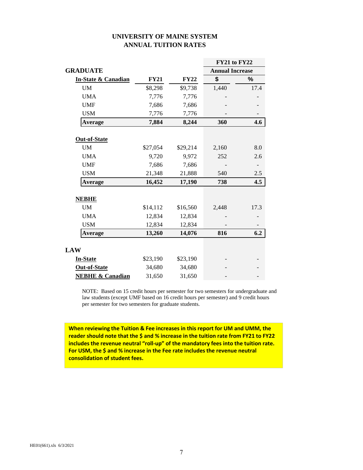| UNIVERSITY OF MAINE SYSTEM  |  |
|-----------------------------|--|
| <b>ANNUAL TUITION RATES</b> |  |

|                                |             |             | <b>FY21 to FY22</b>    |      |
|--------------------------------|-------------|-------------|------------------------|------|
| <b>GRADUATE</b>                |             |             | <b>Annual Increase</b> |      |
| <b>In-State &amp; Canadian</b> | <b>FY21</b> | <b>FY22</b> | \$                     | %    |
| UM                             | \$8,298     | \$9,738     | 1,440                  | 17.4 |
| <b>UMA</b>                     | 7,776       | 7,776       |                        |      |
| <b>UMF</b>                     | 7,686       | 7,686       |                        |      |
| <b>USM</b>                     | 7,776       | 7,776       |                        |      |
| <b>Average</b>                 | 7,884       | 8,244       | 360                    | 4.6  |
|                                |             |             |                        |      |
| <b>Out-of-State</b>            |             |             |                        |      |
| UM                             | \$27,054    | \$29,214    | 2,160                  | 8.0  |
| <b>UMA</b>                     | 9,720       | 9,972       | 252                    | 2.6  |
| <b>UMF</b>                     | 7,686       | 7,686       |                        |      |
| <b>USM</b>                     | 21,348      | 21,888      | 540                    | 2.5  |
| <b>Average</b>                 | 16,452      | 17,190      | 738                    | 4.5  |
|                                |             |             |                        |      |
| <b>NEBHE</b>                   |             |             |                        |      |
| UM                             | \$14,112    | \$16,560    | 2,448                  | 17.3 |
| <b>UMA</b>                     | 12,834      | 12,834      |                        |      |
| <b>USM</b>                     | 12,834      | 12,834      |                        |      |
| Average                        | 13,260      | 14,076      | 816                    | 6.2  |
|                                |             |             |                        |      |
| <b>LAW</b>                     |             |             |                        |      |
| <b>In-State</b>                | \$23,190    | \$23,190    |                        |      |
| Out-of-State                   | 34,680      | 34,680      |                        |      |
| <b>NEBHE &amp; Canadian</b>    | 31,650      | 31,650      |                        |      |

NOTE: Based on 15 credit hours per semester for two semesters for undergraduate and law students (except UMF based on 16 credit hours per semester) and 9 credit hours per semester for two semesters for graduate students.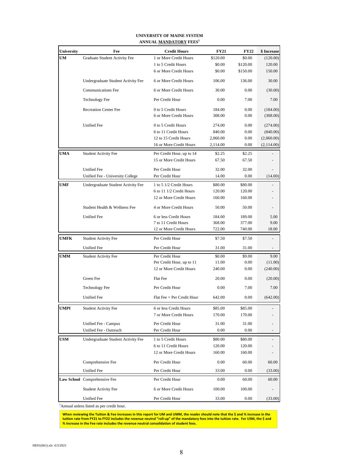| <b>University</b> | Fee                                | <b>Credit Hours</b>        | <b>FY21</b> | <b>FY22</b> | \$ Increase |
|-------------------|------------------------------------|----------------------------|-------------|-------------|-------------|
| UM                | Graduate Student Activity Fee      | 1 or More Credit Hours     | \$120.00    | \$0.00      | (120.00)    |
|                   |                                    | 1 to 5 Credit Hours        | \$0.00      | \$120.00    | 120.00      |
|                   |                                    | 6 or More Credit Hours     | \$0.00      | \$150.00    | 150.00      |
|                   | Undergraduate Student Activity Fee | 6 or More Credit Hours     | 106.00      | 136.00      | 30.00       |
|                   | <b>Communications Fee</b>          | 6 or More Credit Hours     | 30.00       | 0.00        | (30.00)     |
|                   | <b>Technology Fee</b>              | Per Credit Hour            | 0.00        | 7.00        | 7.00        |
|                   | <b>Recreation Center Fee</b>       | 0 to 5 Credit Hours        | 184.00      | 0.00        | (184.00)    |
|                   |                                    | 6 or More Credit Hours     | 308.00      | 0.00        | (308.00)    |
|                   | <b>Unified Fee</b>                 | 0 to 5 Credit Hours        | 274.00      | 0.00        | (274.00)    |
|                   |                                    | 6 to 11 Credit Hours       | 840.00      | 0.00        | (840.00)    |
|                   |                                    | 12 to 15 Credit Hours      | 2,060.00    | 0.00        | (2,060.00)  |
|                   |                                    | 16 or More Credit Hours    | 2,114.00    | 0.00        | (2,114.00)  |
| UMA               | <b>Student Activity Fee</b>        | Per Credit Hour, up to 14  | \$2.25      | \$2.25      |             |
|                   |                                    | 15 or More Credit Hours    | 67.50       | 67.50       |             |
|                   | <b>Unified Fee</b>                 | Per Credit Hour            | 32.00       | 32.00       |             |
|                   | Unified Fee - University College   | Per Credit Hour            | 14.00       | 0.00        | (14.00)     |
| <b>UMF</b>        | Undergraduate Student Activity Fee | 1 to 5 1/2 Credit Hours    | \$80.00     | \$80.00     |             |
|                   |                                    | 6 to 11 1/2 Credit Hours   | 120.00      | 120.00      |             |
|                   |                                    | 12 or More Credit Hours    | 160.00      | 160.00      |             |
|                   | Student Health & Wellness Fee      | 4 or More Credit Hours     | 50.00       | 50.00       |             |
|                   | <b>Unified Fee</b>                 | 6 or less Credit Hours     | 184.00      | 189.00      | 5.00        |
|                   |                                    | 7 to 11 Credit Hours       | 368.00      | 377.00      | 9.00        |
|                   |                                    | 12 or More Credit Hours    | 722.00      | 740.00      | 18.00       |
| <b>UMFK</b>       | <b>Student Activity Fee</b>        | Per Credit Hour            | \$7.50      | \$7.50      |             |
|                   | Unified Fee                        | Per Credit Hour            | 31.00       | 31.00       |             |
| <b>UMM</b>        | <b>Student Activity Fee</b>        | Per Credit Hour            | \$0.00      | \$9.00      | 9.00        |
|                   |                                    | Per Credit Hour, up to 11  | 11.00       | 0.00        | (11.00)     |
|                   |                                    | 12 or More Credit Hours    | 240.00      | 0.00        | (240.00)    |
|                   | Green Fee                          | Flat Fee                   | 20.00       | 0.00        | (20.00)     |
|                   | <b>Technology Fee</b>              | Per Credit Hour            | 0.00        | 7.00        | 7.00        |
|                   | <b>Unified Fee</b>                 | Flat Fee + Per Credit Hour | 642.00      | 0.00        | (642.00)    |
| <b>UMPI</b>       | Student Activity Fee               | 6 or less Credit Hours     | \$85.00     | \$85.00     |             |
|                   |                                    | 7 or More Credit Hours     | 170.00      | 170.00      |             |
|                   | Unified Fee - Campus               | Per Credit Hour            | 31.00       | 31.00       |             |
|                   | Unified Fee - Outreach             | Per Credit Hour            | 0.00        | 0.00        |             |
| <b>USM</b>        | Undergraduate Student Activity Fee | 1 to 5 Credit Hours        | \$80.00     | \$80.00     |             |
|                   |                                    | 6 to 11 Credit Hours       | 120.00      | 120.00      |             |
|                   |                                    | 12 or More Credit Hours    | 160.00      | 160.00      |             |
|                   | Comprehensive Fee                  | Per Credit Hour            | 0.00        | 60.00       | 60.00       |
|                   | <b>Unified Fee</b>                 | Per Credit Hour            | 33.00       | 0.00        | (33.00)     |
|                   | Law School Comprehensive Fee       | Per Credit Hour            | 0.00        | 60.00       | 60.00       |
|                   | <b>Student Activity Fee</b>        | 6 or More Credit Hours     | 100.00      | 100.00      |             |
|                   | Unified Fee                        | Per Credit Hour            | 33.00       | 0.00        | (33.00)     |

#### **UNIVERSITY OF MAINE SYSTEM ANNUAL MANDATORY FEES<sup>1</sup>**

<sup>1</sup>Annual unless listed as per credit hour.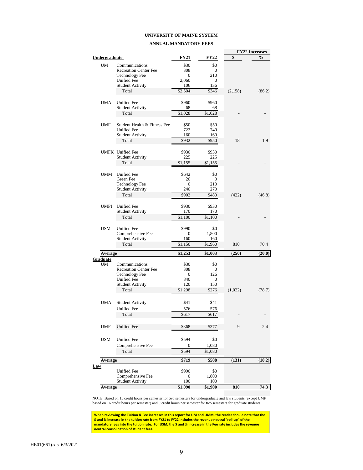#### **UNIVERSITY OF MAINE SYSTEM**

#### **ANNUAL MANDATORY FEES**

|               |                                                  |                     |                     |         | <b>FY22 Increases</b> |
|---------------|--------------------------------------------------|---------------------|---------------------|---------|-----------------------|
| Undergraduate |                                                  | FY21                | FY22                | \$      | $\frac{0}{0}$         |
| UM            | Communications                                   | \$30                | \$0                 |         |                       |
|               | <b>Recreation Center Fee</b>                     | 308                 | $\mathbf{0}$        |         |                       |
|               | <b>Technology Fee</b>                            | 0                   | 210                 |         |                       |
|               | <b>Unified Fee</b>                               | 2,060               | 0                   |         |                       |
|               | <b>Student Activity</b>                          | 106                 | 136                 |         |                       |
|               | Total                                            | \$2,504             | \$346               | (2,158) | (86.2)                |
|               |                                                  |                     |                     |         |                       |
| <b>UMA</b>    | <b>Unified Fee</b>                               | \$960               | \$960               |         |                       |
|               | <b>Student Activity</b>                          | 68                  | 68                  |         |                       |
|               | Total                                            | \$1,028             | \$1,028             |         |                       |
| <b>UMF</b>    | Student Health & Fitness Fee                     | \$50                | \$50                |         |                       |
|               | Unified Fee                                      | 722                 | 740                 |         |                       |
|               | <b>Student Activity</b>                          | 160                 | 160                 |         |                       |
|               | Total                                            | \$932               | \$950               | 18      | 1.9                   |
|               |                                                  |                     |                     |         |                       |
|               | <b>UMFK</b> Unified Fee                          | \$930               | \$930               |         |                       |
|               | <b>Student Activity</b>                          | 225                 | 225                 |         |                       |
|               | Total                                            | \$1,155             | \$1,155             |         |                       |
|               |                                                  |                     |                     |         |                       |
| <b>UMM</b>    | Unified Fee                                      | \$642               | \$0                 |         |                       |
|               | Green Fee                                        | 20                  | 0                   |         |                       |
|               | <b>Technology Fee</b><br><b>Student Activity</b> | $\mathbf{0}$<br>240 | 210<br>270          |         |                       |
|               | Total                                            | \$902               | \$480               | (422)   | (46.8)                |
|               |                                                  |                     |                     |         |                       |
| <b>UMPI</b>   | <b>Unified Fee</b>                               | \$930               | \$930               |         |                       |
|               | <b>Student Activity</b>                          | 170                 | 170                 |         |                       |
|               | Total                                            | \$1,100             | \$1,100             |         |                       |
|               |                                                  |                     |                     |         |                       |
| <b>USM</b>    | <b>Unified Fee</b>                               | \$990               | \$0                 |         |                       |
|               | Comprehensive Fee                                | $\mathbf{0}$        | 1,800               |         |                       |
|               | <b>Student Activity</b>                          | 160                 | 160                 |         |                       |
|               | Total                                            | \$1,150             | \$1,960             | 810     | 70.4                  |
| Average       |                                                  | \$1,253             | \$1,003             | (250)   | (20.0)                |
| Graduate      |                                                  |                     |                     |         |                       |
| UM            | Communications                                   | \$30                | \$0                 |         |                       |
|               | <b>Recreation Center Fee</b>                     | 308                 | $\mathbf{0}$        |         |                       |
|               | <b>Technology Fee</b><br><b>Unified Fee</b>      | 0<br>840            | 126<br>$\mathbf{0}$ |         |                       |
|               | <b>Student Activity</b>                          | 120                 | 150                 |         |                       |
|               | Total                                            | \$1,298             | \$276               | (1,022) | (78.7)                |
|               |                                                  |                     |                     |         |                       |
| <b>UMA</b>    | <b>Student Activity</b>                          | \$41                | \$41                |         |                       |
|               | Unified Fee                                      | 576                 | 576                 |         |                       |
|               | Total                                            | \$617               | \$617               |         |                       |
|               |                                                  |                     |                     |         |                       |
|               |                                                  |                     |                     | 9       |                       |
| <b>UMF</b>    | <b>Unified Fee</b>                               | \$368               | \$377               |         | 2.4                   |
|               |                                                  |                     |                     |         |                       |
| <b>USM</b>    | <b>Unified Fee</b>                               | \$594               | \$0                 |         |                       |
|               | Comprehensive Fee                                | 0                   | 1,080               |         |                       |
|               | Total                                            | \$594               | \$1,080             |         |                       |
| Average       |                                                  | \$719               | \$588               | (131)   | (18.2)                |
| Law           |                                                  |                     |                     |         |                       |
|               | <b>Unified Fee</b>                               | \$990               | \$0                 |         |                       |
|               | Comprehensive Fee                                | 0                   | 1,800               |         |                       |
|               | <b>Student Activity</b>                          | 100                 | 100                 |         |                       |
| Average       |                                                  | \$1,090             | \$1,900             | 810     | 74.3                  |

NOTE: Based on 15 credit hours per semester for two semesters for undergraduate and law students (except UMF based on 16 credit hours per semester) and 9 credit hours per semester for two semesters for graduate students.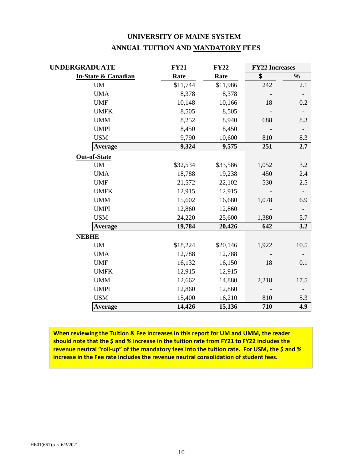| UNIVERSITY OF MAINE SYSTEM        |  |
|-----------------------------------|--|
| ANNUAL TUITION AND MANDATORY FEES |  |

| UNDERGRADUATE                  | <b>FY21</b> | <b>FY22</b> | <b>FY22 Increases</b> |                          |
|--------------------------------|-------------|-------------|-----------------------|--------------------------|
| <b>In-State &amp; Canadian</b> | Rate        | Rate        | \$                    | $\%$                     |
| <b>UM</b>                      | \$11,744    | \$11,986    | 242                   | 2.1                      |
| <b>UMA</b>                     | 8,378       | 8,378       |                       |                          |
| <b>UMF</b>                     | 10,148      | 10,166      | 18                    | 0.2                      |
| <b>UMFK</b>                    | 8,505       | 8,505       |                       |                          |
| <b>UMM</b>                     | 8,252       | 8,940       | 688                   | 8.3                      |
| <b>UMPI</b>                    | 8,450       | 8,450       |                       |                          |
| <b>USM</b>                     | 9,790       | 10,600      | 810                   | 8.3                      |
| <b>Average</b>                 | 9,324       | 9,575       | 251                   | 2.7                      |
| <b>Out-of-State</b>            |             |             |                       |                          |
| <b>UM</b>                      | \$32,534    | \$33,586    | 1,052                 | 3.2                      |
| <b>UMA</b>                     | 18,788      | 19,238      | 450                   | 2.4                      |
| <b>UMF</b>                     | 21,572      | 22,102      | 530                   | 2.5                      |
| <b>UMFK</b>                    | 12,915      | 12,915      |                       |                          |
| <b>UMM</b>                     | 15,602      | 16,680      | 1,078                 | 6.9                      |
| <b>UMPI</b>                    | 12,860      | 12,860      |                       | $\overline{\phantom{a}}$ |
| <b>USM</b>                     | 24,220      | 25,600      | 1,380                 | 5.7                      |
| <b>Average</b>                 | 19,784      | 20,426      | 642                   | 3.2                      |
| <b>NEBHE</b>                   |             |             |                       |                          |
| <b>UM</b>                      | \$18,224    | \$20,146    | 1,922                 | 10.5                     |
| <b>UMA</b>                     | 12,788      | 12,788      |                       |                          |
| <b>UMF</b>                     | 16,132      | 16,150      | 18                    | 0.1                      |
| <b>UMFK</b>                    | 12,915      | 12,915      |                       |                          |
| <b>UMM</b>                     | 12,662      | 14,880      | 2,218                 | 17.5                     |
| <b>UMPI</b>                    | 12,860      | 12,860      |                       |                          |
| <b>USM</b>                     | 15,400      | 16,210      | 810                   | 5.3                      |
| <b>Average</b>                 | 14,426      | 15,136      | 710                   | 4.9                      |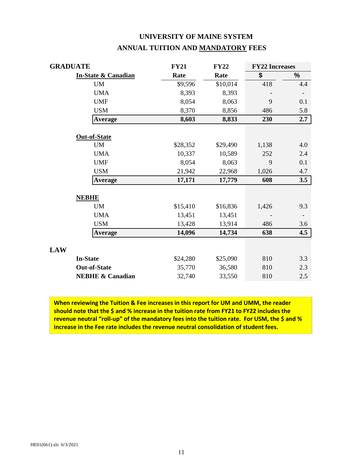| <b>GRADUATE</b> |                                | <b>FY21</b> | <b>FY22</b> | <b>FY22 Increases</b> |     |
|-----------------|--------------------------------|-------------|-------------|-----------------------|-----|
|                 | <b>In-State &amp; Canadian</b> | Rate        | Rate        | \$                    | %   |
|                 | <b>UM</b>                      | \$9,596     | \$10,014    | 418                   | 4.4 |
|                 | <b>UMA</b>                     | 8,393       | 8,393       |                       |     |
|                 | <b>UMF</b>                     | 8,054       | 8,063       | 9                     | 0.1 |
|                 | <b>USM</b>                     | 8,370       | 8,856       | 486                   | 5.8 |
|                 | <b>Average</b>                 | 8,603       | 8,833       | 230                   | 2.7 |
|                 | <b>Out-of-State</b>            |             |             |                       |     |
|                 | <b>UM</b>                      | \$28,352    | \$29,490    | 1,138                 | 4.0 |
|                 | <b>UMA</b>                     | 10,337      | 10,589      | 252                   | 2.4 |
|                 | <b>UMF</b>                     | 8,054       | 8,063       | 9                     | 0.1 |
|                 | <b>USM</b>                     | 21,942      | 22,968      | 1,026                 | 4.7 |
|                 | <b>Average</b>                 | 17,171      | 17,779      | 608                   | 3.5 |
|                 | <b>NEBHE</b>                   |             |             |                       |     |
|                 | <b>UM</b>                      | \$15,410    | \$16,836    | 1,426                 | 9.3 |
|                 | <b>UMA</b>                     | 13,451      | 13,451      |                       |     |
|                 | <b>USM</b>                     | 13,428      | 13,914      | 486                   | 3.6 |
|                 | <b>Average</b>                 | 14,096      | 14,734      | 638                   | 4.5 |
| <b>LAW</b>      |                                |             |             |                       |     |
|                 | <b>In-State</b>                | \$24,280    | \$25,090    | 810                   | 3.3 |
|                 | <b>Out-of-State</b>            | 35,770      | 36,580      | 810                   | 2.3 |
|                 | <b>NEBHE &amp; Canadian</b>    | 32,740      | 33,550      | 810                   | 2.5 |

# **UNIVERSITY OF MAINE SYSTEM ANNUAL TUITION AND MANDATORY FEES**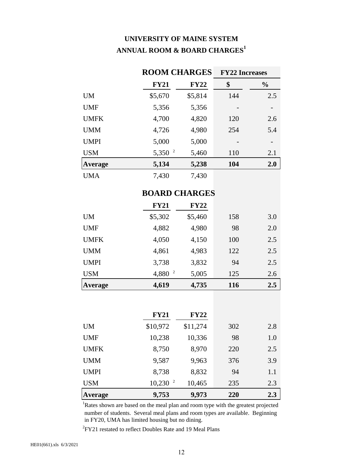# **UNIVERSITY OF MAINE SYSTEM ANNUAL ROOM & BOARD CHARGES<sup>1</sup>**

|             |                     | <b>ROOM CHARGES</b> |     | <b>FY22 Increases</b> |
|-------------|---------------------|---------------------|-----|-----------------------|
|             | <b>FY21</b>         | <b>FY22</b>         | \$  | $\frac{6}{10}$        |
| <b>UM</b>   | \$5,670             | \$5,814             | 144 | 2.5                   |
| <b>UMF</b>  | 5,356               | 5,356               |     |                       |
| <b>UMFK</b> | 4,700               | 4,820               | 120 | 2.6                   |
| <b>UMM</b>  | 4,726               | 4,980               | 254 | 5.4                   |
| <b>UMPI</b> | 5,000               | 5,000               |     |                       |
| <b>USM</b>  | 2<br>5,350          | 5,460               | 110 | 2.1                   |
| Average     | 5,134               | 5,238               | 104 | 2.0                   |
| <b>UMA</b>  | 7,430               | 7,430               |     |                       |
|             | DO A DIN CITA DO DO |                     |     |                       |

## **BOARD CHARGES**

|                | <b>FY21</b> | <b>FY22</b> |     |     |
|----------------|-------------|-------------|-----|-----|
| UM             | \$5,302     | \$5,460     | 158 | 3.0 |
| <b>UMF</b>     | 4,882       | 4,980       | 98  | 2.0 |
| <b>UMFK</b>    | 4,050       | 4,150       | 100 | 2.5 |
| <b>UMM</b>     | 4,861       | 4,983       | 122 | 2.5 |
| <b>UMPI</b>    | 3,738       | 3,832       | 94  | 2.5 |
| <b>USM</b>     | $4,880^{2}$ | 5,005       | 125 | 2.6 |
| <b>Average</b> | 4,619       | 4,735       | 116 | 2.5 |

|                | <b>FY21</b>           | <b>FY22</b> |     |     |
|----------------|-----------------------|-------------|-----|-----|
| <b>UM</b>      | \$10,972              | \$11,274    | 302 | 2.8 |
| <b>UMF</b>     | 10,238                | 10,336      | 98  | 1.0 |
| <b>UMFK</b>    | 8,750                 | 8,970       | 220 | 2.5 |
| <b>UMM</b>     | 9,587                 | 9,963       | 376 | 3.9 |
| <b>UMPI</b>    | 8,738                 | 8,832       | 94  | 1.1 |
| <b>USM</b>     | $10,230$ <sup>2</sup> | 10,465      | 235 | 2.3 |
| <b>Average</b> | 9,753                 | 9,973       | 220 | 2.3 |

<sup>1</sup>Rates shown are based on the meal plan and room type with the greatest projected number of students. Several meal plans and room types are available. Beginning in FY20, UMA has limited housing but no dining.

 ${}^{2}$ FY21 restated to reflect Doubles Rate and 19 Meal Plans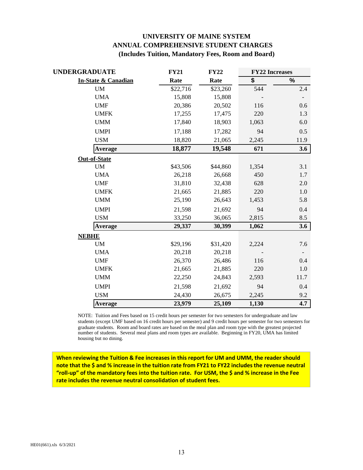## **UNIVERSITY OF MAINE SYSTEM ANNUAL COMPREHENSIVE STUDENT CHARGES (Includes Tuition, Mandatory Fees, Room and Board)**

| <b>UNDERGRADUATE</b>           | <b>FY21</b> | <b>FY22</b> | <b>FY22 Increases</b> |         |
|--------------------------------|-------------|-------------|-----------------------|---------|
| <b>In-State &amp; Canadian</b> | Rate        | Rate        | \$                    | $\%$    |
| <b>UM</b>                      | \$22,716    | \$23,260    | 544                   | 2.4     |
| <b>UMA</b>                     | 15,808      | 15,808      |                       |         |
| <b>UMF</b>                     | 20,386      | 20,502      | 116                   | 0.6     |
| <b>UMFK</b>                    | 17,255      | 17,475      | 220                   | 1.3     |
| <b>UMM</b>                     | 17,840      | 18,903      | 1,063                 | $6.0\,$ |
| <b>UMPI</b>                    | 17,188      | 17,282      | 94                    | 0.5     |
| <b>USM</b>                     | 18,820      | 21,065      | 2,245                 | 11.9    |
| <b>Average</b>                 | 18,877      | 19,548      | 671                   | 3.6     |
| <b>Out-of-State</b>            |             |             |                       |         |
| <b>UM</b>                      | \$43,506    | \$44,860    | 1,354                 | 3.1     |
| <b>UMA</b>                     | 26,218      | 26,668      | 450                   | 1.7     |
| <b>UMF</b>                     | 31,810      | 32,438      | 628                   | 2.0     |
| <b>UMFK</b>                    | 21,665      | 21,885      | 220                   | 1.0     |
| <b>UMM</b>                     | 25,190      | 26,643      | 1,453                 | 5.8     |
| <b>UMPI</b>                    | 21,598      | 21,692      | 94                    | 0.4     |
| <b>USM</b>                     | 33,250      | 36,065      | 2,815                 | 8.5     |
| Average                        | 29,337      | 30,399      | 1,062                 | 3.6     |
| <b>NEBHE</b>                   |             |             |                       |         |
| <b>UM</b>                      | \$29,196    | \$31,420    | 2,224                 | 7.6     |
| <b>UMA</b>                     | 20,218      | 20,218      |                       |         |
| <b>UMF</b>                     | 26,370      | 26,486      | 116                   | 0.4     |
| <b>UMFK</b>                    | 21,665      | 21,885      | 220                   | 1.0     |
| <b>UMM</b>                     | 22,250      | 24,843      | 2,593                 | 11.7    |
| <b>UMPI</b>                    | 21,598      | 21,692      | 94                    | 0.4     |
| <b>USM</b>                     | 24,430      | 26,675      | 2,245                 | 9.2     |
| <b>Average</b>                 | 23,979      | 25,109      | 1,130                 | 4.7     |

NOTE: Tuition and Fees based on 15 credit hours per semester for two semesters for undergraduate and law students (except UMF based on 16 credit hours per semester) and 9 credit hours per semester for two semesters for graduate students. Room and board rates are based on the meal plan and room type with the greatest projected number of students. Several meal plans and room types are available. Beginning in FY20, UMA has limited housing but no dining.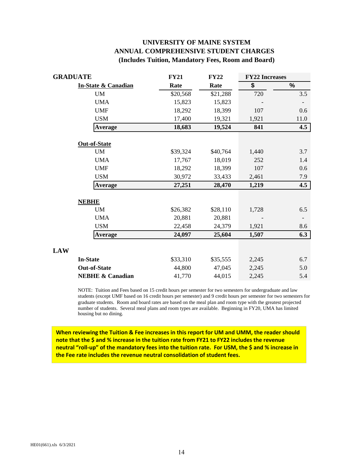## **UNIVERSITY OF MAINE SYSTEM ANNUAL COMPREHENSIVE STUDENT CHARGES (Includes Tuition, Mandatory Fees, Room and Board)**

| <b>GRADUATE</b>                | <b>FY21</b> | <b>FY22</b> | <b>FY22 Increases</b> |      |
|--------------------------------|-------------|-------------|-----------------------|------|
| <b>In-State &amp; Canadian</b> | Rate        | Rate        | \$                    | $\%$ |
| <b>UM</b>                      | \$20,568    | \$21,288    | 720                   | 3.5  |
| <b>UMA</b>                     | 15,823      | 15,823      |                       |      |
| <b>UMF</b>                     | 18,292      | 18,399      | 107                   | 0.6  |
| <b>USM</b>                     | 17,400      | 19,321      | 1,921                 | 11.0 |
| <b>Average</b>                 | 18,683      | 19,524      | 841                   | 4.5  |
| <b>Out-of-State</b>            |             |             |                       |      |
| <b>UM</b>                      | \$39,324    | \$40,764    | 1,440                 | 3.7  |
| <b>UMA</b>                     | 17,767      | 18,019      | 252                   | 1.4  |
| <b>UMF</b>                     | 18,292      | 18,399      | 107                   | 0.6  |
| <b>USM</b>                     | 30,972      | 33,433      | 2,461                 | 7.9  |
| <b>Average</b>                 | 27,251      | 28,470      | 1,219                 | 4.5  |
| <b>NEBHE</b>                   |             |             |                       |      |
| <b>UM</b>                      | \$26,382    | \$28,110    | 1,728                 | 6.5  |
| <b>UMA</b>                     | 20,881      | 20,881      |                       | -    |
| <b>USM</b>                     | 22,458      | 24,379      | 1,921                 | 8.6  |
| <b>Average</b>                 | 24,097      | 25,604      | 1,507                 | 6.3  |
| <b>LAW</b>                     |             |             |                       |      |
| <b>In-State</b>                | \$33,310    | \$35,555    | 2,245                 | 6.7  |
| <b>Out-of-State</b>            | 44,800      | 47,045      | 2,245                 | 5.0  |
| <b>NEBHE &amp; Canadian</b>    | 41,770      | 44,015      | 2,245                 | 5.4  |

NOTE: Tuition and Fees based on 15 credit hours per semester for two semesters for undergraduate and law students (except UMF based on 16 credit hours per semester) and 9 credit hours per semester for two semesters for graduate students. Room and board rates are based on the meal plan and room type with the greatest projected number of students. Several meal plans and room types are available. Beginning in FY20, UMA has limited housing but no dining.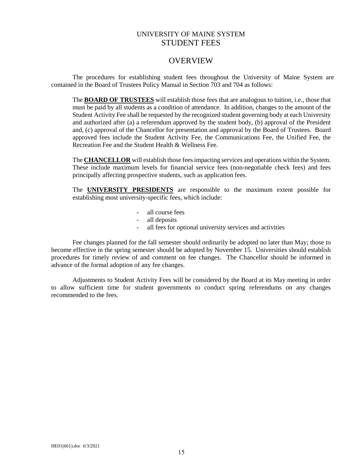## UNIVERSITY OF MAINE SYSTEM STUDENT FEES

## **OVERVIEW**

The procedures for establishing student fees throughout the University of Maine System are contained in the Board of Trustees Policy Manual in Section 703 and 704 as follows:

The **BOARD OF TRUSTEES** will establish those fees that are analogous to tuition, i.e., those that must be paid by all students as a condition of attendance. In addition, changes to the amount of the Student Activity Fee shall be requested by the recognized student governing body at each University and authorized after (a) a referendum approved by the student body, (b) approval of the President and, (c) approval of the Chancellor for presentation and approval by the Board of Trustees. Board approved fees include the Student Activity Fee, the Communications Fee, the Unified Fee, the Recreation Fee and the Student Health & Wellness Fee.

The **CHANCELLOR** will establish those fees impacting services and operations within the System. These include maximum levels for financial service fees (non-negotiable check fees) and fees principally affecting prospective students, such as application fees.

The **UNIVERSITY PRESIDENTS** are responsible to the maximum extent possible for establishing most university-specific fees, which include:

- all course fees
- all deposits
- all fees for optional university services and activities

Fee changes planned for the fall semester should ordinarily be adopted no later than May; those to become effective in the spring semester should be adopted by November 15. Universities should establish procedures for timely review of and comment on fee changes. The Chancellor should be informed in advance of the formal adoption of any fee changes.

Adjustments to Student Activity Fees will be considered by the Board at its May meeting in order to allow sufficient time for student governments to conduct spring referendums on any changes recommended to the fees.